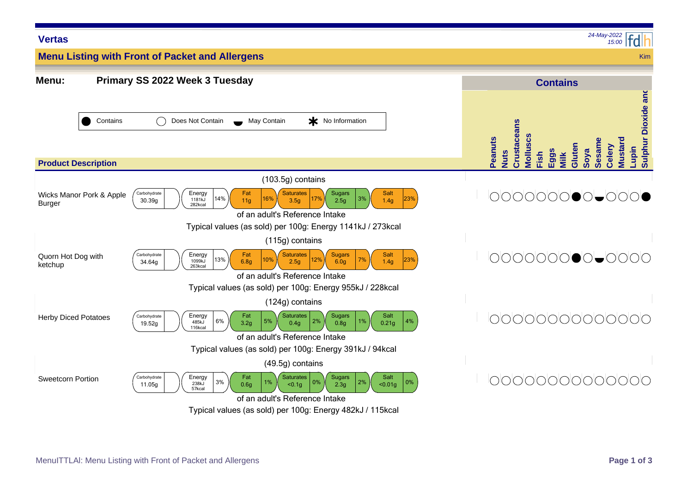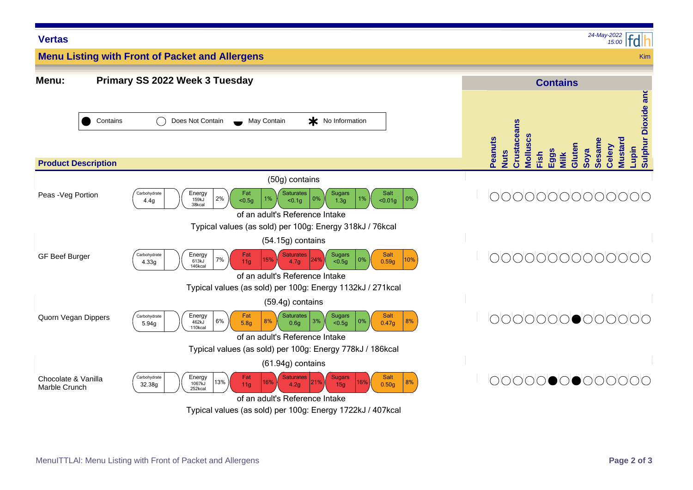